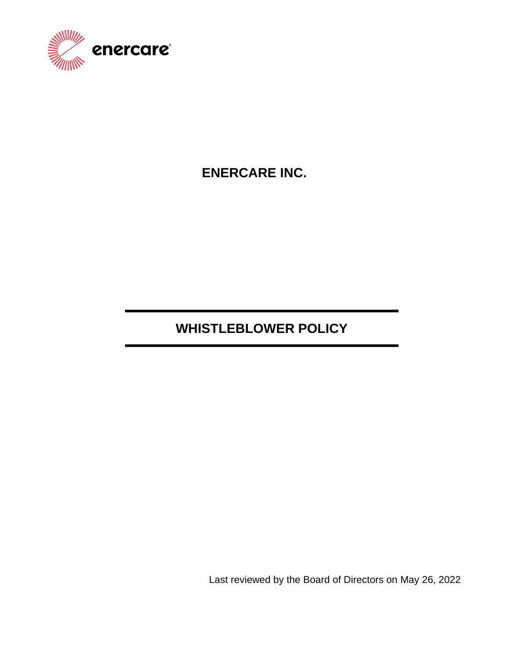

## **ENERCARE INC.**

# **WHISTLEBLOWER POLICY**

Last reviewed by the Board of Directors on May 26, 2022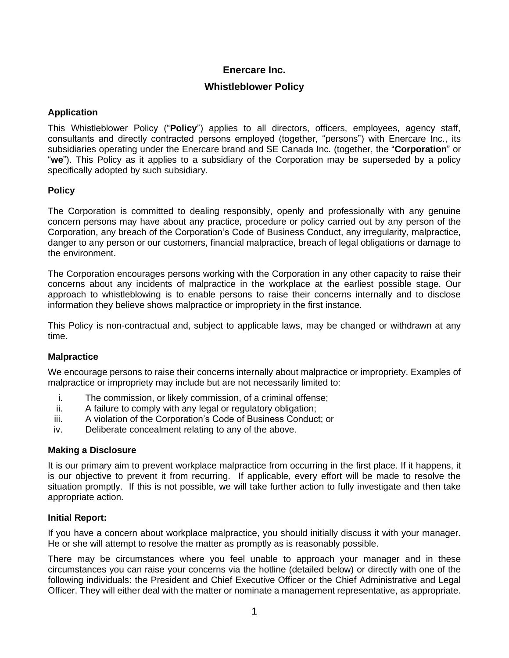## **Enercare Inc.**

## **Whistleblower Policy**

## **Application**

This Whistleblower Policy ("**Policy**") applies to all directors, officers, employees, agency staff, consultants and directly contracted persons employed (together, "persons") with Enercare Inc., its subsidiaries operating under the Enercare brand and SE Canada Inc. (together, the "**Corporation**" or "**we**"). This Policy as it applies to a subsidiary of the Corporation may be superseded by a policy specifically adopted by such subsidiary.

## **Policy**

The Corporation is committed to dealing responsibly, openly and professionally with any genuine concern persons may have about any practice, procedure or policy carried out by any person of the Corporation, any breach of the Corporation's Code of Business Conduct, any irregularity, malpractice, danger to any person or our customers, financial malpractice, breach of legal obligations or damage to the environment.

The Corporation encourages persons working with the Corporation in any other capacity to raise their concerns about any incidents of malpractice in the workplace at the earliest possible stage. Our approach to whistleblowing is to enable persons to raise their concerns internally and to disclose information they believe shows malpractice or impropriety in the first instance.

This Policy is non-contractual and, subject to applicable laws, may be changed or withdrawn at any time.

#### **Malpractice**

We encourage persons to raise their concerns internally about malpractice or impropriety. Examples of malpractice or impropriety may include but are not necessarily limited to:

- i. The commission, or likely commission, of a criminal offense;
- ii. A failure to comply with any legal or regulatory obligation;
- iii. A violation of the Corporation's Code of Business Conduct; or
- iv. Deliberate concealment relating to any of the above.

#### **Making a Disclosure**

It is our primary aim to prevent workplace malpractice from occurring in the first place. If it happens, it is our objective to prevent it from recurring. If applicable, every effort will be made to resolve the situation promptly. If this is not possible, we will take further action to fully investigate and then take appropriate action.

#### **Initial Report:**

If you have a concern about workplace malpractice, you should initially discuss it with your manager. He or she will attempt to resolve the matter as promptly as is reasonably possible.

There may be circumstances where you feel unable to approach your manager and in these circumstances you can raise your concerns via the hotline (detailed below) or directly with one of the following individuals: the President and Chief Executive Officer or the Chief Administrative and Legal Officer. They will either deal with the matter or nominate a management representative, as appropriate.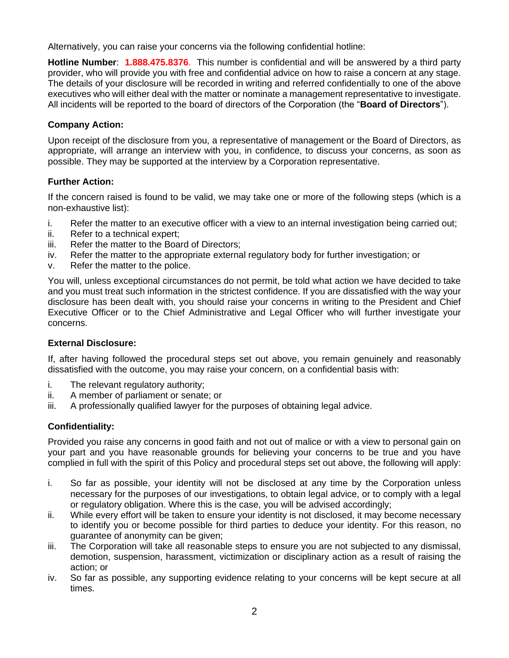Alternatively, you can raise your concerns via the following confidential hotline:

**Hotline Number**: **1.888.475.8376**. This number is confidential and will be answered by a third party provider, who will provide you with free and confidential advice on how to raise a concern at any stage. The details of your disclosure will be recorded in writing and referred confidentially to one of the above executives who will either deal with the matter or nominate a management representative to investigate. All incidents will be reported to the board of directors of the Corporation (the "**Board of Directors**").

## **Company Action:**

Upon receipt of the disclosure from you, a representative of management or the Board of Directors, as appropriate, will arrange an interview with you, in confidence, to discuss your concerns, as soon as possible. They may be supported at the interview by a Corporation representative.

## **Further Action:**

If the concern raised is found to be valid, we may take one or more of the following steps (which is a non-exhaustive list):

- i. Refer the matter to an executive officer with a view to an internal investigation being carried out;
- ii. Refer to a technical expert;
- iii. Refer the matter to the Board of Directors;
- iv. Refer the matter to the appropriate external regulatory body for further investigation; or
- v. Refer the matter to the police.

You will, unless exceptional circumstances do not permit, be told what action we have decided to take and you must treat such information in the strictest confidence. If you are dissatisfied with the way your disclosure has been dealt with, you should raise your concerns in writing to the President and Chief Executive Officer or to the Chief Administrative and Legal Officer who will further investigate your concerns.

#### **External Disclosure:**

If, after having followed the procedural steps set out above, you remain genuinely and reasonably dissatisfied with the outcome, you may raise your concern, on a confidential basis with:

- i. The relevant regulatory authority;
- ii. A member of parliament or senate; or
- iii. A professionally qualified lawyer for the purposes of obtaining legal advice.

## **Confidentiality:**

Provided you raise any concerns in good faith and not out of malice or with a view to personal gain on your part and you have reasonable grounds for believing your concerns to be true and you have complied in full with the spirit of this Policy and procedural steps set out above, the following will apply:

- i. So far as possible, your identity will not be disclosed at any time by the Corporation unless necessary for the purposes of our investigations, to obtain legal advice, or to comply with a legal or regulatory obligation. Where this is the case, you will be advised accordingly;
- ii. While every effort will be taken to ensure your identity is not disclosed, it may become necessary to identify you or become possible for third parties to deduce your identity. For this reason, no guarantee of anonymity can be given;
- iii. The Corporation will take all reasonable steps to ensure you are not subjected to any dismissal, demotion, suspension, harassment, victimization or disciplinary action as a result of raising the action; or
- iv. So far as possible, any supporting evidence relating to your concerns will be kept secure at all times.